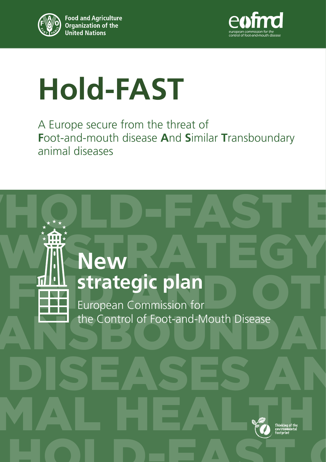



# **Hold-FAST**

A Europe secure from the threat of<br>**F**oot-and-mouth disease **And S**imilar **Transboundary**<br>animal diseases animal diseases<br>Highlights over the control of the control of the control of the control of the control of the control of the<br>Highlights of the control of the control of the control of the control of the control of the con A Europe secure from the threat of **F**oot-and-mouth disease **A**nd **S**imilar **T**ransboundary animal diseases

## OVHOLD-FAST E NEW STRATEGY **FMD** Strategic plan<br>
European Commission for TRANSBOTTEN THE CONTROL Of Foot-and-Mouth Disease DISEASES AN Thinking of the Environmental<br>
Environmental<br>
Contribution of the Environmental<br>
Contribution HOLD-FAST G **New**  European Commission for Thinking of the environmental footprint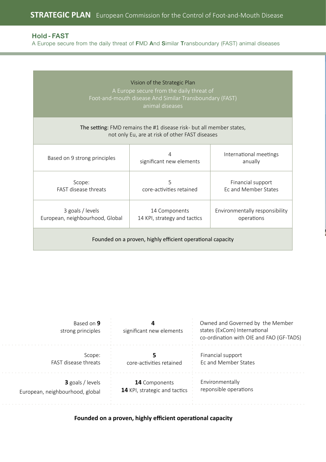A Europe secure from the daily threat of FMD And Similar Transboundary (FAST) animal diseases

|                                                                                                                                                      | Vision of the Strategic Plan<br>A Europe secure from the daily threat of<br>Foot-and-mouth disease And Similar Transboundary (FAST)<br>animal diseases |                                                  |  |  |
|------------------------------------------------------------------------------------------------------------------------------------------------------|--------------------------------------------------------------------------------------------------------------------------------------------------------|--------------------------------------------------|--|--|
|                                                                                                                                                      | The setting: FMD remains the #1 disease risk- but all member states,<br>not only Eu, are at risk of other FAST diseases                                |                                                  |  |  |
| Based on 9 strong principles                                                                                                                         | 4<br>International meetings<br>significant new elements<br>anually                                                                                     |                                                  |  |  |
| Scope:<br>FAST disease threats                                                                                                                       | 5<br>core-activities retained                                                                                                                          | Financial support<br><b>Fc and Member States</b> |  |  |
| 3 goals / levels<br>14 Components<br>Environmentally responsibility<br>European, neighbourhood, Global<br>14 KPI, strategy and tactics<br>operations |                                                                                                                                                        |                                                  |  |  |
| Founded on a proven, highly efficient operational capacity                                                                                           |                                                                                                                                                        |                                                  |  |  |

| Based on 9<br>strong principles                     | significant new elements                       | Owned and Governed by the Member<br>states (ExCom) International<br>co-ordination with OIE and FAO (GF-TADS) |
|-----------------------------------------------------|------------------------------------------------|--------------------------------------------------------------------------------------------------------------|
| Scope:<br>FAST disease threats                      | core-activities retained                       | Financial support<br>Ec and Member States                                                                    |
| 3 goals / levels<br>European, neighbourhood, global | 14 Components<br>14 KPI, strategic and tactics | Environmentally<br>reponsible operations                                                                     |

#### **Founded on a proven, highly efficient operational capacity**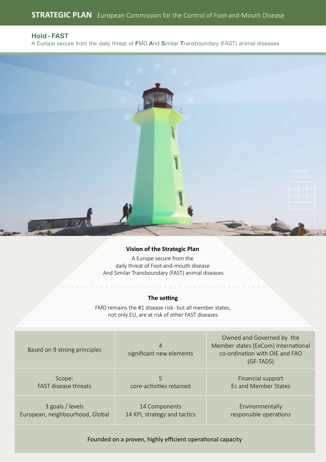A Europe secure from the daily threat of FMD And Similar Transboundary (FAST) animal diseases



#### **Vision of the Strategic Plan**

A Europe secure from the daily threat of Foot-and-mouth disease And Similar Transboundary (FAST) animal diseases

#### **The setting**

FMD remains the #1 disease risk- but all member states, not only EU, are at risk of other FAST diseases

| Based on 9 strong principles    | 4<br>significant new elements | Owned and Governed by the<br>Member states (ExCom) International<br>co-ordination with OIE and FAO<br>(GF-TADS) |
|---------------------------------|-------------------------------|-----------------------------------------------------------------------------------------------------------------|
| Scope:                          | 5                             | Financial support                                                                                               |
| FAST disease threats            | core-activities retained      | Ec and Member States                                                                                            |
| 3 goals / levels                | 14 Components                 | Environmentally                                                                                                 |
| European, neighbourhood, Global | 14 KPI, strategy and tactics  | responsible operations                                                                                          |

Founded on a proven, highly efficient operational capacity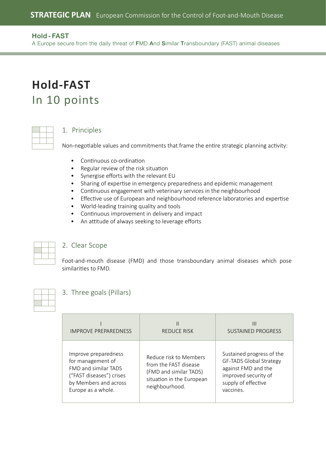A Europe secure from the daily threat of FMD And Similar Transboundary (FAST) animal diseases

### **Hold-FAST**  In 10 points

#### 1. Principles

Non-negotiable values and commitments that frame the entire strategic planning activity:

- Continuous co-ordination
- Regular review of the risk situation
- Synergise efforts with the relevant EU
- Sharing of expertise in emergency preparedness and epidemic management
- Continuous engagement with veterinary services in the neighbourhood
- Effective use of European and neighbourhood reference laboratories and expertise
- World-leading training quality and tools
- Continuous improvement in delivery and impact
- An attitude of always seeking to leverage efforts



#### 2. Clear Scope

Foot-and-mouth disease (FMD) and those transboundary animal diseases which pose similarities to FMD.

#### 3. Three goals (Pillars)

| <b>IMPROVE PREPAREDNESS</b>                                                                                                                         | REDUCE RISK                                                                                                              | Ш<br><b>SUSTAINED PROGRESS</b>                                                                                                          |
|-----------------------------------------------------------------------------------------------------------------------------------------------------|--------------------------------------------------------------------------------------------------------------------------|-----------------------------------------------------------------------------------------------------------------------------------------|
| Improve preparedness<br>for management of<br><b>FMD and similar TADS</b><br>("FAST diseases") crises<br>by Members and across<br>Europe as a whole. | Reduce risk to Members<br>from the FAST disease<br>(FMD and similar TADS)<br>situation in the European<br>neighbourhood. | Sustained progress of the<br>GF-TADS Global Strategy<br>against FMD and the<br>improved security of<br>supply of effective<br>vaccines. |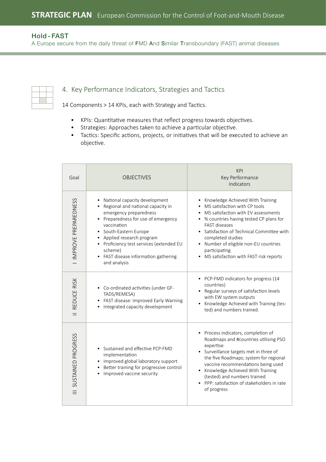A Europe secure from the daily threat of FMD And Similar Transboundary (FAST) animal diseases

#### 4. Key Performance Indicators, Strategies and Tactics

14 Components > 14 KPIs, each with Strategy and Tactics.

- KPIs: Quantitative measures that reflect progress towards objectives.
- Strategies: Approaches taken to achieve a particular objective.
- Tactics: Specific actions, projects, or initiatives that will be executed to achieve an objective.

| Goal                 | <b>OBJECTIVES</b>                                                                                                                                                                                                                                                                                                 | KPI<br>Key Performance<br>Indicators                                                                                                                                                                                                                                                                                                                  |
|----------------------|-------------------------------------------------------------------------------------------------------------------------------------------------------------------------------------------------------------------------------------------------------------------------------------------------------------------|-------------------------------------------------------------------------------------------------------------------------------------------------------------------------------------------------------------------------------------------------------------------------------------------------------------------------------------------------------|
| IMPROVE PREPAREDNESS | National capacity development<br>Regional and national capacity in<br>emergency preparedness<br>Preparedness for use of emergency<br>vaccination<br>South-Eastern Europe<br>Applied research program<br>Proficiency test services (extended EU<br>scheme)<br>• FAST disease information gathering<br>and analysis | Knowledge Achieved With Training<br>MS satisfaction with CP tools<br>MS satisfaction with EV assessments<br>• % countries having tested CP plans for<br><b>FAST diseases</b><br>• Satisfaction of Technical Committee with<br>completed studies<br>• Number of eligible non-EU countries<br>participating<br>• MS satisfaction with FAST risk reports |
| REDUCE RISK          | Co-ordinated activities (under GF-<br>$\bullet$<br>TADS/REMESA)<br>FAST disease: Improved Early Warning<br>Integrated capacity development                                                                                                                                                                        | • PCP-FMD indicators for progress (14<br>countries)<br>• Regular surveys of satisfaction levels<br>with EW system outputs<br>Knowledge Achieved with Training (tes-<br>ted) and numbers trained.                                                                                                                                                      |
| SUSTAINED PROGRESS   | Sustained and effective PCP-FMD<br>implementation<br>Improved global laboratory support<br>Better training for progressive control<br>Improved vaccine security                                                                                                                                                   | Process indicators, completion of<br>Roadmaps and #countries utilising PSO<br>expertise<br>• Surveillance targets met in three of<br>the five Roadmaps; system for regional<br>vaccine recommendations being used<br>Knowledge Achieved With Training<br>(tested) and numbers trained<br>• PPP: satisfaction of stakeholders in rate<br>of progress   |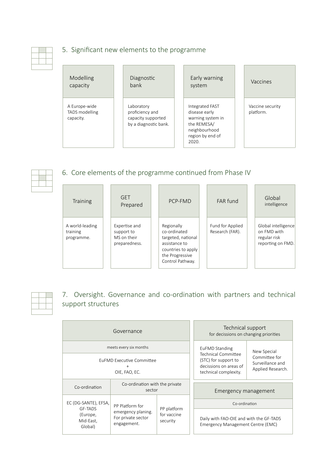#### 5. Significant new elements to the programme

| Modelling                                    | Diagnostic                                                                   | Early warning                                                                                                      | Vaccines                      |
|----------------------------------------------|------------------------------------------------------------------------------|--------------------------------------------------------------------------------------------------------------------|-------------------------------|
| capacity                                     | bank                                                                         | system                                                                                                             |                               |
| A Europe-wide<br>TADS modelling<br>capacity. | Laboratory<br>proficiency and<br>capacity supported<br>by a diagnostic bank. | Integrated FAST<br>disease early<br>warning system in<br>the REMESA/<br>neighbourhood<br>region by end of<br>2020. | Vaccine security<br>platform. |



#### 6. Core elements of the programme continued from Phase IV

| <b>Training</b>                           | <b>GFT</b><br>Prepared                                      | PCP-FMD                                                                                                                        | FAR fund                            | Global<br>intelligence                                                  |
|-------------------------------------------|-------------------------------------------------------------|--------------------------------------------------------------------------------------------------------------------------------|-------------------------------------|-------------------------------------------------------------------------|
| A world-leading<br>training<br>programme. | Expertise and<br>support to<br>MS on their<br>preparedness. | Regionally<br>co-ordinated<br>targeted, national<br>assistance to<br>countries to apply<br>the Progressive<br>Control Pathway. | Fund for Applied<br>Research (FAR). | Global intelligence<br>on FMD with<br>regular risk<br>reporting on FMD. |



#### 7. Oversight. Governance and co-ordination with partners and technical support structures

|                                  | Governance                                              |                                        | Technical support<br>for decissions on changing priorities                                                      |                                       |
|----------------------------------|---------------------------------------------------------|----------------------------------------|-----------------------------------------------------------------------------------------------------------------|---------------------------------------|
|                                  | meets every six months                                  |                                        | <b>EuFMD Standing</b><br>New Special                                                                            |                                       |
|                                  | EuFMD Executive Committee<br>$\ddot{}$<br>OIE, FAO, EC. |                                        | Technical Committee<br>Committee for<br>(STC) for support to<br>decissions on areas of<br>technical complexity. | Surveillance and<br>Applied Research. |
| Co-ordination                    | Co-ordination with the private<br>sector                |                                        | Emergency management                                                                                            |                                       |
| EC (DG-SANTE), EFSA,<br>GF-TADS  | PP Platform for                                         |                                        | Co-ordination                                                                                                   |                                       |
| (Europe,<br>Mid-East,<br>Global) | emergency planing.<br>For private sector<br>engagement. | PP platform<br>for vaccine<br>security | Daily with FAO-OIE and with the GF-TADS<br>Emergency Management Centre (EMC)                                    |                                       |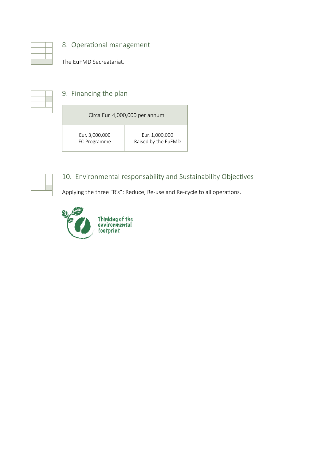8. Operational management

The EuFMD Secreatariat.

#### 9. Financing the plan

| Circa Eur. 4,000,000 per annum |                     |  |
|--------------------------------|---------------------|--|
| Eur. 3,000,000                 | Eur. 1,000,000      |  |
| EC Programme                   | Raised by the EuFMD |  |



#### 10. Environmental responsability and Sustainability Objectives

Applying the three "R's": Reduce, Re-use and Re-cycle to all operations.